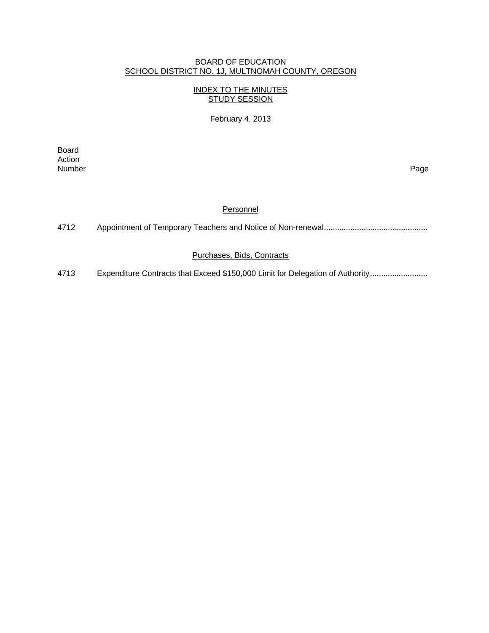### BOARD OF EDUCATION SCHOOL DISTRICT NO. 1J, MULTNOMAH COUNTY, OREGON

## INDEX TO THE MINUTES STUDY SESSION

### February 4, 2013

extending the control of the control of the control of the control of the control of the control of the control of the control of the control of the control of the control of the control of the control of the control of th Action<br>Number Number Page

#### **Personnel**

| 4712 |  |  |  |
|------|--|--|--|
|------|--|--|--|

#### Purchases, Bids, Contracts

4713 Expenditure Contracts that Exceed \$150,000 Limit for Delegation of Authority .........................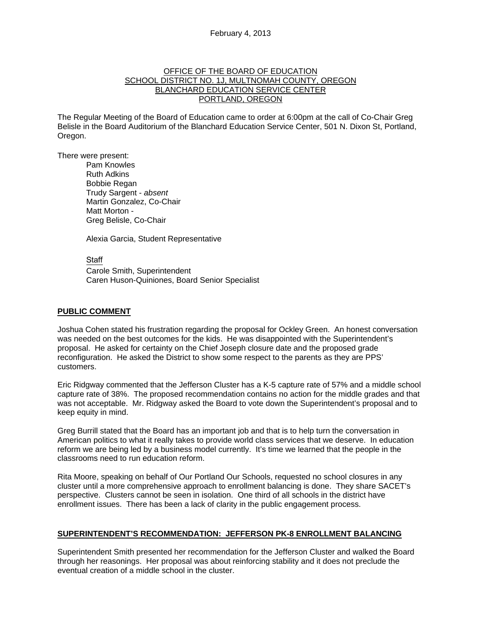#### OFFICE OF THE BOARD OF EDUCATION SCHOOL DISTRICT NO. 1J, MULTNOMAH COUNTY, OREGON BLANCHARD EDUCATION SERVICE CENTER PORTLAND, OREGON

The Regular Meeting of the Board of Education came to order at 6:00pm at the call of Co-Chair Greg Belisle in the Board Auditorium of the Blanchard Education Service Center, 501 N. Dixon St, Portland, Oregon.

There were present: Pam Knowles

Ruth Adkins Bobbie Regan Trudy Sargent - *absent* Martin Gonzalez, Co-Chair Matt Morton - Greg Belisle, Co-Chair

Alexia Garcia, Student Representative

Staff Carole Smith, Superintendent Caren Huson-Quiniones, Board Senior Specialist

#### **PUBLIC COMMENT**

Joshua Cohen stated his frustration regarding the proposal for Ockley Green. An honest conversation was needed on the best outcomes for the kids. He was disappointed with the Superintendent's proposal. He asked for certainty on the Chief Joseph closure date and the proposed grade reconfiguration. He asked the District to show some respect to the parents as they are PPS' customers.

Eric Ridgway commented that the Jefferson Cluster has a K-5 capture rate of 57% and a middle school capture rate of 38%. The proposed recommendation contains no action for the middle grades and that was not acceptable. Mr. Ridgway asked the Board to vote down the Superintendent's proposal and to keep equity in mind.

Greg Burrill stated that the Board has an important job and that is to help turn the conversation in American politics to what it really takes to provide world class services that we deserve. In education reform we are being led by a business model currently. It's time we learned that the people in the classrooms need to run education reform.

Rita Moore, speaking on behalf of Our Portland Our Schools, requested no school closures in any cluster until a more comprehensive approach to enrollment balancing is done. They share SACET's perspective. Clusters cannot be seen in isolation. One third of all schools in the district have enrollment issues. There has been a lack of clarity in the public engagement process.

### **SUPERINTENDENT'S RECOMMENDATION: JEFFERSON PK-8 ENROLLMENT BALANCING**

Superintendent Smith presented her recommendation for the Jefferson Cluster and walked the Board through her reasonings. Her proposal was about reinforcing stability and it does not preclude the eventual creation of a middle school in the cluster.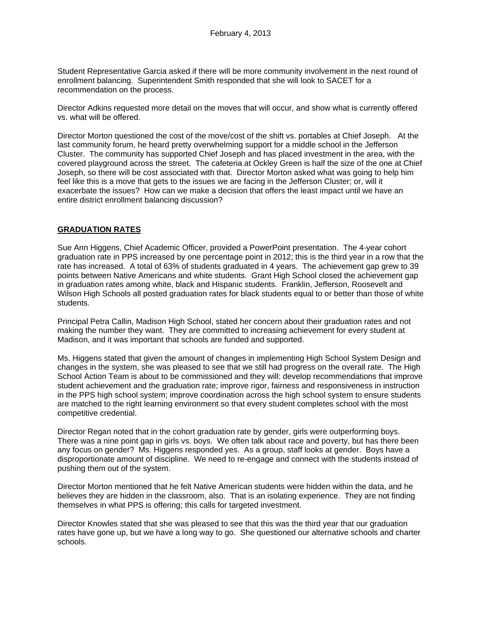Student Representative Garcia asked if there will be more community involvement in the next round of enrollment balancing. Superintendent Smith responded that she will look to SACET for a recommendation on the process.

Director Adkins requested more detail on the moves that will occur, and show what is currently offered vs. what will be offered.

Director Morton questioned the cost of the move/cost of the shift vs. portables at Chief Joseph. At the last community forum, he heard pretty overwhelming support for a middle school in the Jefferson Cluster. The community has supported Chief Joseph and has placed investment in the area, with the covered playground across the street. The cafeteria at Ockley Green is half the size of the one at Chief Joseph, so there will be cost associated with that. Director Morton asked what was going to help him feel like this is a move that gets to the issues we are facing in the Jefferson Cluster; or, will it exacerbate the issues? How can we make a decision that offers the least impact until we have an entire district enrollment balancing discussion?

#### **GRADUATION RATES**

Sue Ann Higgens, Chief Academic Officer, provided a PowerPoint presentation. The 4-year cohort graduation rate in PPS increased by one percentage point in 2012; this is the third year in a row that the rate has increased. A total of 63% of students graduated in 4 years. The achievement gap grew to 39 points between Native Americans and white students. Grant High School closed the achievement gap in graduation rates among white, black and Hispanic students. Franklin, Jefferson, Roosevelt and Wilson High Schools all posted graduation rates for black students equal to or better than those of white students.

Principal Petra Callin, Madison High School, stated her concern about their graduation rates and not making the number they want. They are committed to increasing achievement for every student at Madison, and it was important that schools are funded and supported.

Ms. Higgens stated that given the amount of changes in implementing High School System Design and changes in the system, she was pleased to see that we still had progress on the overall rate. The High School Action Team is about to be commissioned and they will: develop recommendations that improve student achievement and the graduation rate; improve rigor, fairness and responsiveness in instruction in the PPS high school system; improve coordination across the high school system to ensure students are matched to the right learning environment so that every student completes school with the most competitive credential.

Director Regan noted that in the cohort graduation rate by gender, girls were outperforming boys. There was a nine point gap in girls vs. boys. We often talk about race and poverty, but has there been any focus on gender? Ms. Higgens responded yes. As a group, staff looks at gender. Boys have a disproportionate amount of discipline. We need to re-engage and connect with the students instead of pushing them out of the system.

Director Morton mentioned that he felt Native American students were hidden within the data, and he believes they are hidden in the classroom, also. That is an isolating experience. They are not finding themselves in what PPS is offering; this calls for targeted investment.

Director Knowles stated that she was pleased to see that this was the third year that our graduation rates have gone up, but we have a long way to go. She questioned our alternative schools and charter schools.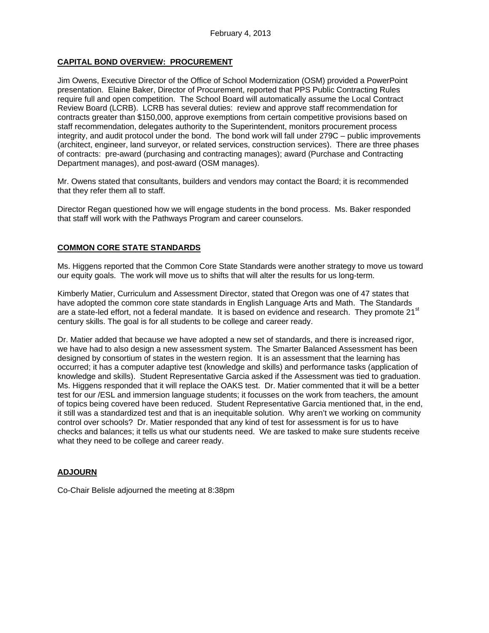## **CAPITAL BOND OVERVIEW: PROCUREMENT**

Jim Owens, Executive Director of the Office of School Modernization (OSM) provided a PowerPoint presentation. Elaine Baker, Director of Procurement, reported that PPS Public Contracting Rules require full and open competition. The School Board will automatically assume the Local Contract Review Board (LCRB). LCRB has several duties: review and approve staff recommendation for contracts greater than \$150,000, approve exemptions from certain competitive provisions based on staff recommendation, delegates authority to the Superintendent, monitors procurement process integrity, and audit protocol under the bond. The bond work will fall under 279C – public improvements (architect, engineer, land surveyor, or related services, construction services). There are three phases of contracts: pre-award (purchasing and contracting manages); award (Purchase and Contracting Department manages), and post-award (OSM manages).

Mr. Owens stated that consultants, builders and vendors may contact the Board; it is recommended that they refer them all to staff.

Director Regan questioned how we will engage students in the bond process. Ms. Baker responded that staff will work with the Pathways Program and career counselors.

### **COMMON CORE STATE STANDARDS**

Ms. Higgens reported that the Common Core State Standards were another strategy to move us toward our equity goals. The work will move us to shifts that will alter the results for us long-term.

Kimberly Matier, Curriculum and Assessment Director, stated that Oregon was one of 47 states that have adopted the common core state standards in English Language Arts and Math. The Standards are a state-led effort, not a federal mandate. It is based on evidence and research. They promote 21<sup>st</sup> century skills. The goal is for all students to be college and career ready.

Dr. Matier added that because we have adopted a new set of standards, and there is increased rigor, we have had to also design a new assessment system. The Smarter Balanced Assessment has been designed by consortium of states in the western region. It is an assessment that the learning has occurred; it has a computer adaptive test (knowledge and skills) and performance tasks (application of knowledge and skills). Student Representative Garcia asked if the Assessment was tied to graduation. Ms. Higgens responded that it will replace the OAKS test. Dr. Matier commented that it will be a better test for our /ESL and immersion language students; it focusses on the work from teachers, the amount of topics being covered have been reduced. Student Representative Garcia mentioned that, in the end, it still was a standardized test and that is an inequitable solution. Why aren't we working on community control over schools? Dr. Matier responded that any kind of test for assessment is for us to have checks and balances; it tells us what our students need. We are tasked to make sure students receive what they need to be college and career ready.

### **ADJOURN**

Co-Chair Belisle adjourned the meeting at 8:38pm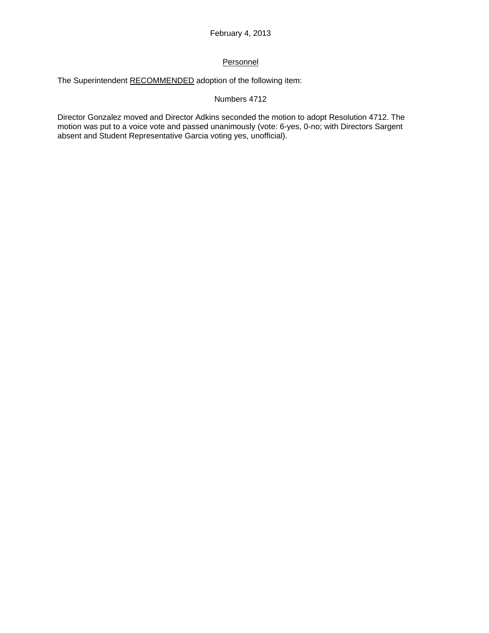# **Personnel**

The Superintendent RECOMMENDED adoption of the following item:

## Numbers 4712

Director Gonzalez moved and Director Adkins seconded the motion to adopt Resolution 4712. The motion was put to a voice vote and passed unanimously (vote: 6-yes, 0-no; with Directors Sargent absent and Student Representative Garcia voting yes, unofficial).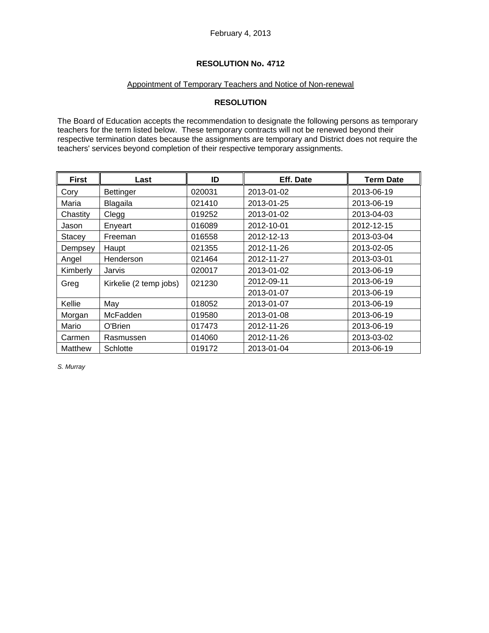## **RESOLUTION No. 4712**

## Appointment of Temporary Teachers and Notice of Non-renewal

## **RESOLUTION**

The Board of Education accepts the recommendation to designate the following persons as temporary teachers for the term listed below. These temporary contracts will not be renewed beyond their respective termination dates because the assignments are temporary and District does not require the teachers' services beyond completion of their respective temporary assignments.

| <b>First</b> | Last                   | ID     | Eff. Date  | <b>Term Date</b> |
|--------------|------------------------|--------|------------|------------------|
| Cory         | <b>Bettinger</b>       | 020031 | 2013-01-02 | 2013-06-19       |
| Maria        | Blagaila               | 021410 | 2013-01-25 | 2013-06-19       |
| Chastity     | Clegg                  | 019252 | 2013-01-02 | 2013-04-03       |
| Jason        | Enyeart                | 016089 | 2012-10-01 | 2012-12-15       |
| Stacey       | Freeman                | 016558 | 2012-12-13 | 2013-03-04       |
| Dempsey      | Haupt                  | 021355 | 2012-11-26 | 2013-02-05       |
| Angel        | Henderson              | 021464 | 2012-11-27 | 2013-03-01       |
| Kimberly     | Jarvis                 | 020017 | 2013-01-02 | 2013-06-19       |
| Greg         | Kirkelie (2 temp jobs) | 021230 | 2012-09-11 | 2013-06-19       |
|              |                        |        | 2013-01-07 | 2013-06-19       |
| Kellie       | May                    | 018052 | 2013-01-07 | 2013-06-19       |
| Morgan       | McFadden               | 019580 | 2013-01-08 | 2013-06-19       |
| Mario        | O'Brien                | 017473 | 2012-11-26 | 2013-06-19       |
| Carmen       | Rasmussen              | 014060 | 2012-11-26 | 2013-03-02       |
| Matthew      | Schlotte               | 019172 | 2013-01-04 | 2013-06-19       |

*S. Murray*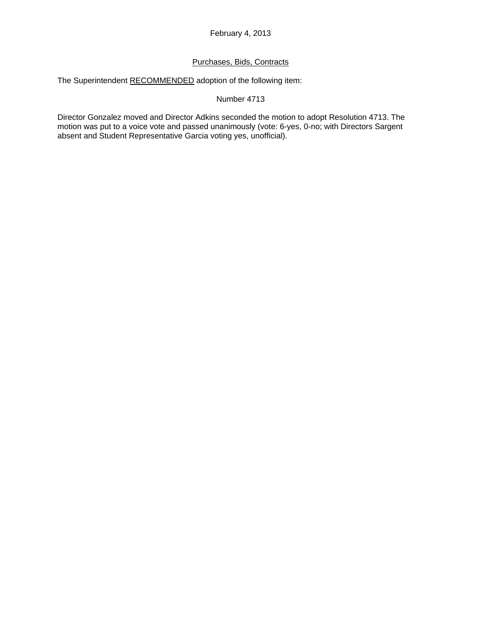## Purchases, Bids, Contracts

The Superintendent RECOMMENDED adoption of the following item:

#### Number 4713

Director Gonzalez moved and Director Adkins seconded the motion to adopt Resolution 4713. The motion was put to a voice vote and passed unanimously (vote: 6-yes, 0-no; with Directors Sargent absent and Student Representative Garcia voting yes, unofficial).